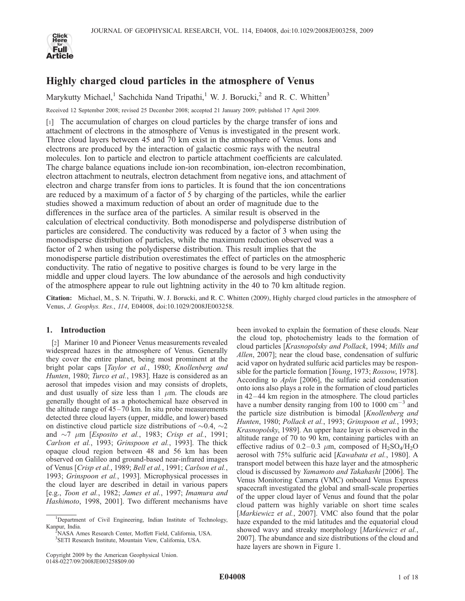

# Highly charged cloud particles in the atmosphere of Venus

Marykutty Michael,<sup>1</sup> Sachchida Nand Tripathi,<sup>1</sup> W. J. Borucki,<sup>2</sup> and R. C. Whitten<sup>3</sup>

Received 12 September 2008; revised 25 December 2008; accepted 21 January 2009; published 17 April 2009.

[1] The accumulation of charges on cloud particles by the charge transfer of ions and attachment of electrons in the atmosphere of Venus is investigated in the present work. Three cloud layers between 45 and 70 km exist in the atmosphere of Venus. Ions and electrons are produced by the interaction of galactic cosmic rays with the neutral molecules. Ion to particle and electron to particle attachment coefficients are calculated. The charge balance equations include ion-ion recombination, ion-electron recombination, electron attachment to neutrals, electron detachment from negative ions, and attachment of electron and charge transfer from ions to particles. It is found that the ion concentrations are reduced by a maximum of a factor of 5 by charging of the particles, while the earlier studies showed a maximum reduction of about an order of magnitude due to the differences in the surface area of the particles. A similar result is observed in the calculation of electrical conductivity. Both monodisperse and polydisperse distribution of particles are considered. The conductivity was reduced by a factor of 3 when using the monodisperse distribution of particles, while the maximum reduction observed was a factor of 2 when using the polydisperse distribution. This result implies that the monodisperse particle distribution overestimates the effect of particles on the atmospheric conductivity. The ratio of negative to positive charges is found to be very large in the middle and upper cloud layers. The low abundance of the aerosols and high conductivity of the atmosphere appear to rule out lightning activity in the 40 to 70 km altitude region.

Citation: Michael, M., S. N. Tripathi, W. J. Borucki, and R. C. Whitten (2009), Highly charged cloud particles in the atmosphere of Venus, J. Geophys. Res., 114, E04008, doi:10.1029/2008JE003258.

## 1. Introduction

[2] Mariner 10 and Pioneer Venus measurements revealed widespread hazes in the atmosphere of Venus. Generally they cover the entire planet, being most prominent at the bright polar caps [Taylor et al., 1980; Knollenberg and Hunten, 1980; Turco et al., 1983]. Haze is considered as an aerosol that impedes vision and may consists of droplets, and dust usually of size less than  $1 \mu m$ . The clouds are generally thought of as a photochemical haze observed in the altitude range of  $45-70$  km. In situ probe measurements detected three cloud layers (upper, middle, and lower) based on distinctive cloud particle size distributions of  $\sim 0.4$ ,  $\sim 2$ and  $\sim$ 7  $\mu$ m [*Esposito et al.*, 1983; Crisp et al., 1991; Carlson et al., 1993; Grinspoon et al., 1993]. The thick opaque cloud region between 48 and 56 km has been observed on Galileo and ground-based near-infrared images of Venus [Crisp et al., 1989; Bell et al., 1991; Carlson et al., 1993; Grinspoon et al., 1993]. Microphysical processes in the cloud layer are described in detail in various papers [e.g., Toon et al., 1982; James et al., 1997; Imamura and Hashimoto, 1998, 2001]. Two different mechanisms have

NASA Ames Research Center, Moffett Field, California, USA. 3 SETI Research Institute, Mountain View, California, USA.

been invoked to explain the formation of these clouds. Near the cloud top, photochemistry leads to the formation of cloud particles [Krasnopolsky and Pollack, 1994; Mills and Allen, 2007]; near the cloud base, condensation of sulfuric acid vapor on hydrated sulfuric acid particles may be responsible for the particle formation [Young, 1973; Rossow, 1978]. According to Aplin [2006], the sulfuric acid condensation onto ions also plays a role in the formation of cloud particles in 42 –44 km region in the atmosphere. The cloud particles have a number density ranging from 100 to 1000  $\text{cm}^{-3}$  and the particle size distribution is bimodal [Knollenberg and Hunten, 1980; Pollack et al., 1993; Grinspoon et al., 1993; Krasnopolsky, 1989]. An upper haze layer is observed in the altitude range of 70 to 90 km, containing particles with an effective radius of 0.2–0.3  $\mu$ m, composed of H<sub>2</sub>SO<sub>4</sub>/H<sub>2</sub>O aerosol with 75% sulfuric acid [Kawabata et al., 1980]. A transport model between this haze layer and the atmospheric cloud is discussed by Yamamoto and Takahashi [2006]. The Venus Monitoring Camera (VMC) onboard Venus Express spacecraft investigated the global and small-scale properties of the upper cloud layer of Venus and found that the polar cloud pattern was highly variable on short time scales [Markiewicz et al., 2007]. VMC also found that the polar haze expanded to the mid latitudes and the equatorial cloud showed wavy and streaky morphology [Markiewicz et al., 2007]. The abundance and size distributions of the cloud and haze layers are shown in Figure 1.

<sup>&</sup>lt;sup>1</sup>Department of Civil Engineering, Indian Institute of Technology, Kanpur, India. <sup>2</sup>

Copyright 2009 by the American Geophysical Union. 0148-0227/09/2008JE003258\$09.00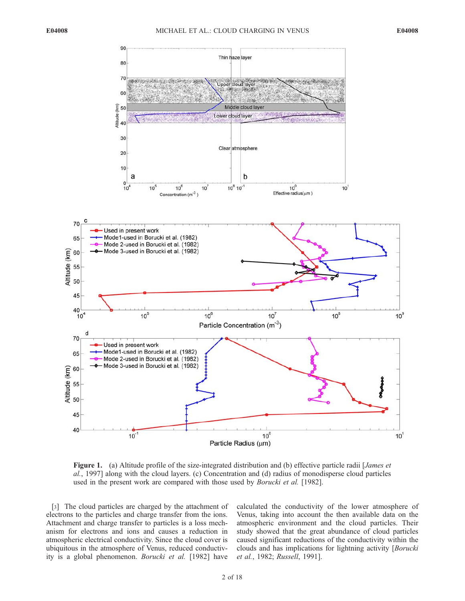

Figure 1. (a) Altitude profile of the size-integrated distribution and (b) effective particle radii [James et al., 1997] along with the cloud layers. (c) Concentration and (d) radius of monodisperse cloud particles used in the present work are compared with those used by *Borucki et al.* [1982].

[3] The cloud particles are charged by the attachment of electrons to the particles and charge transfer from the ions. Attachment and charge transfer to particles is a loss mechanism for electrons and ions and causes a reduction in atmospheric electrical conductivity. Since the cloud cover is ubiquitous in the atmosphere of Venus, reduced conductivity is a global phenomenon. Borucki et al. [1982] have

calculated the conductivity of the lower atmosphere of Venus, taking into account the then available data on the atmospheric environment and the cloud particles. Their study showed that the great abundance of cloud particles caused significant reductions of the conductivity within the clouds and has implications for lightning activity [Borucki et al., 1982; Russell, 1991].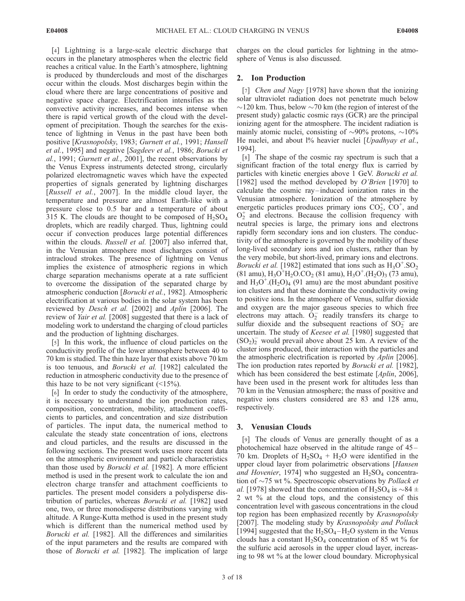[4] Lightning is a large-scale electric discharge that occurs in the planetary atmospheres when the electric field reaches a critical value. In the Earth's atmosphere, lightning is produced by thunderclouds and most of the discharges occur within the clouds. Most discharges begin within the cloud where there are large concentrations of positive and negative space charge. Electrification intensifies as the convective activity increases, and becomes intense when there is rapid vertical growth of the cloud with the development of precipitation. Though the searches for the existence of lightning in Venus in the past have been both positive [Krasnopolsky, 1983; Gurnett et al., 1991; Hansell et al., 1995] and negative [Sagdeev et al., 1986; Borucki et al., 1991; Gurnett et al., 2001], the recent observations by the Venus Express instruments detected strong, circularly polarized electromagnetic waves which have the expected properties of signals generated by lightning discharges [Russell et al., 2007]. In the middle cloud layer, the temperature and pressure are almost Earth-like with a pressure close to 0.5 bar and a temperature of about 315 K. The clouds are thought to be composed of  $H_2SO_4$ droplets, which are readily charged. Thus, lightning could occur if convection produces large potential differences within the clouds. Russell et al. [2007] also inferred that, in the Venusian atmosphere most discharges consist of intracloud strokes. The presence of lightning on Venus implies the existence of atmospheric regions in which charge separation mechanisms operate at a rate sufficient to overcome the dissipation of the separated charge by atmospheric conduction [Borucki et al., 1982]. Atmospheric electrification at various bodies in the solar system has been reviewed by *Desch et al.* [2002] and Aplin [2006]. The review of Yair et al. [2008] suggested that there is a lack of modeling work to understand the charging of cloud particles and the production of lightning discharges.

[5] In this work, the influence of cloud particles on the conductivity profile of the lower atmosphere between 40 to 70 km is studied. The thin haze layer that exists above 70 km is too tenuous, and Borucki et al. [1982] calculated the reduction in atmospheric conductivity due to the presence of this haze to be not very significant  $($ 

[6] In order to study the conductivity of the atmosphere, it is necessary to understand the ion production rates, composition, concentration, mobility, attachment coefficients to particles, and concentration and size distribution of particles. The input data, the numerical method to calculate the steady state concentration of ions, electrons and cloud particles, and the results are discussed in the following sections. The present work uses more recent data on the atmospheric environment and particle characteristics than those used by *Borucki et al.* [1982]. A more efficient method is used in the present work to calculate the ion and electron charge transfer and attachment coefficients to particles. The present model considers a polydisperse distribution of particles, whereas Borucki et al. [1982] used one, two, or three monodisperse distributions varying with altitude. A Runge-Kutta method is used in the present study which is different than the numerical method used by Borucki et al. [1982]. All the differences and similarities of the input parameters and the results are compared with those of Borucki et al. [1982]. The implication of large charges on the cloud particles for lightning in the atmosphere of Venus is also discussed.

## 2. Ion Production

[7] *Chen and Nagy* [1978] have shown that the ionizing solar ultraviolet radiation does not penetrate much below  $\sim$ 120 km. Thus, below  $\sim$ 70 km (the region of interest of the present study) galactic cosmic rays (GCR) are the principal ionizing agent for the atmosphere. The incident radiation is mainly atomic nuclei, consisting of  $\sim 90\%$  protons,  $\sim 10\%$ He nuclei, and about 1% heavier nuclei [Upadhyay et al., 1994].

[8] The shape of the cosmic ray spectrum is such that a significant fraction of the total energy flux is carried by particles with kinetic energies above 1 GeV. Borucki et al. [1982] used the method developed by *O'Brien* [1970] to calculate the cosmic ray –induced ionization rates in the Venusian atmosphere. Ionization of the atmosphere by energetic particles produces primary ions  $CO<sub>2</sub><sup>+</sup>, CO<sup>+</sup>,$  and  $O<sub>2</sub><sup>+</sup>$  and electrons. Because the collision frequency with neutral species is large, the primary ions and electrons rapidly form secondary ions and ion clusters. The conductivity of the atmosphere is governed by the mobility of these long-lived secondary ions and ion clusters, rather than by the very mobile, but short-lived, primary ions and electrons. Borucki et al. [1982] estimated that ions such as  $H_3O^+$ . SO<sub>2</sub>  $(81$  amu),  $H_3O^+H_2O$ .CO<sub>2</sub> (81 amu),  $H_3O^+$ . $(H_2O)_3$  (73 amu), and  $H_3O^+$ .( $H_2O$ )<sub>4</sub> (91 amu) are the most abundant positive ion clusters and that these dominate the conductivity owing to positive ions. In the atmosphere of Venus, sulfur dioxide and oxygen are the major gaseous species to which free electrons may attach.  $O_2^-$  readily transfers its charge to sulfur dioxide and the subsequent reactions of  $SO_2^-$  are uncertain. The study of *Keesee et al.* [1980] suggested that  $(SO_2)_2$  would prevail above about 25 km. A review of the cluster ions produced, their interaction with the particles and the atmospheric electrification is reported by Aplin [2006]. The ion production rates reported by *Borucki et al.* [1982], which has been considered the best estimate [*Aplin*, 2006], have been used in the present work for altitudes less than 70 km in the Venusian atmosphere; the mass of positive and negative ions clusters considered are 83 and 128 amu, respectively.

## 3. Venusian Clouds

[9] The clouds of Venus are generally thought of as a photochemical haze observed in the altitude range of 45– 70 km. Droplets of  $H_2SO_4 + H_2O$  were identified in the upper cloud layer from polarimetric observations [Hansen and Hovenier, 1974] who suggested an  $H_2SO_4$  concentration of  $\sim$ 75 wt %. Spectroscopic observations by *Pollack et* al. [1978] showed that the concentration of H<sub>2</sub>SO<sub>4</sub> is  $\sim$ 84  $\pm$ 2 wt % at the cloud tops, and the consistency of this concentration level with gaseous concentrations in the cloud top region has been emphasized recently by Krasnopolsky [2007]. The modeling study by Krasnopolsky and Pollack [1994] suggested that the  $H_2SO_4-H_2O$  system in the Venus clouds has a constant  $H_2SO_4$  concentration of 85 wt % for the sulfuric acid aerosols in the upper cloud layer, increasing to 98 wt % at the lower cloud boundary. Microphysical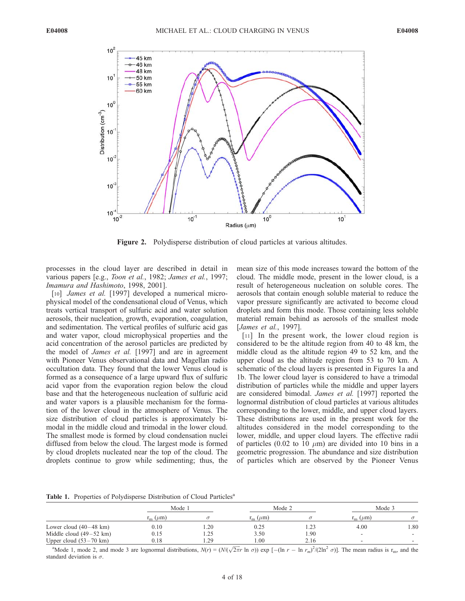

Figure 2. Polydisperse distribution of cloud particles at various altitudes.

processes in the cloud layer are described in detail in various papers [e.g., *Toon et al.*, 1982; James et al., 1997; Imamura and Hashimoto, 1998, 2001].

[10] *James et al.* [1997] developed a numerical microphysical model of the condensational cloud of Venus, which treats vertical transport of sulfuric acid and water solution aerosols, their nucleation, growth, evaporation, coagulation, and sedimentation. The vertical profiles of sulfuric acid gas and water vapor, cloud microphysical properties and the acid concentration of the aerosol particles are predicted by the model of *James et al.* [1997] and are in agreement with Pioneer Venus observational data and Magellan radio occultation data. They found that the lower Venus cloud is formed as a consequence of a large upward flux of sulfuric acid vapor from the evaporation region below the cloud base and that the heterogeneous nucleation of sulfuric acid and water vapors is a plausible mechanism for the formation of the lower cloud in the atmosphere of Venus. The size distribution of cloud particles is approximately bimodal in the middle cloud and trimodal in the lower cloud. The smallest mode is formed by cloud condensation nuclei diffused from below the cloud. The largest mode is formed by cloud droplets nucleated near the top of the cloud. The droplets continue to grow while sedimenting; thus, the

mean size of this mode increases toward the bottom of the cloud. The middle mode, present in the lower cloud, is a result of heterogeneous nucleation on soluble cores. The aerosols that contain enough soluble material to reduce the vapor pressure significantly are activated to become cloud droplets and form this mode. Those containing less soluble material remain behind as aerosols of the smallest mode [James et al., 1997].

[11] In the present work, the lower cloud region is considered to be the altitude region from 40 to 48 km, the middle cloud as the altitude region 49 to 52 km, and the upper cloud as the altitude region from 53 to 70 km. A schematic of the cloud layers is presented in Figures 1a and 1b. The lower cloud layer is considered to have a trimodal distribution of particles while the middle and upper layers are considered bimodal. James et al. [1997] reported the lognormal distribution of cloud particles at various altitudes corresponding to the lower, middle, and upper cloud layers. These distributions are used in the present work for the altitudes considered in the model corresponding to the lower, middle, and upper cloud layers. The effective radii of particles (0.02 to 10  $\mu$ m) are divided into 10 bins in a geometric progression. The abundance and size distribution of particles which are observed by the Pioneer Venus

Table 1. Properties of Polydisperse Distribution of Cloud Particles<sup>a</sup>

|                                   | Mode 1                 |      | Mode 2                 |      | Mode 3                   |                          |
|-----------------------------------|------------------------|------|------------------------|------|--------------------------|--------------------------|
|                                   | $r_{\rm m}$ ( $\mu$ m) |      | $r_{\rm m}$ ( $\mu$ m) |      | $r_{\rm m}$ ( $\mu$ m)   |                          |
| Lower cloud $(40-48 \text{ km})$  | 0.10                   | 1.20 | 0.25                   | 1.23 | 4.00                     | 1.80                     |
| Middle cloud $(49-52 \text{ km})$ | 0.15                   | 1.25 | 3.50                   | . 90 |                          | $\overline{\phantom{0}}$ |
| Upper cloud $(53-70 \text{ km})$  | 0.18                   | .29  | 1.00                   | 2.16 | $\overline{\phantom{a}}$ | $\overline{\phantom{0}}$ |

<sup>a</sup>Mode 1, mode 2, and mode 3 are lognormal distributions,  $N(r) = (N/(\sqrt{2\pi}r \ln \sigma)) \exp [-(\ln r - \ln r_m)^2/(2\ln^2 \sigma)]$ . The mean radius is r<sub>m</sub>, and the standard deviation is  $\sigma$ .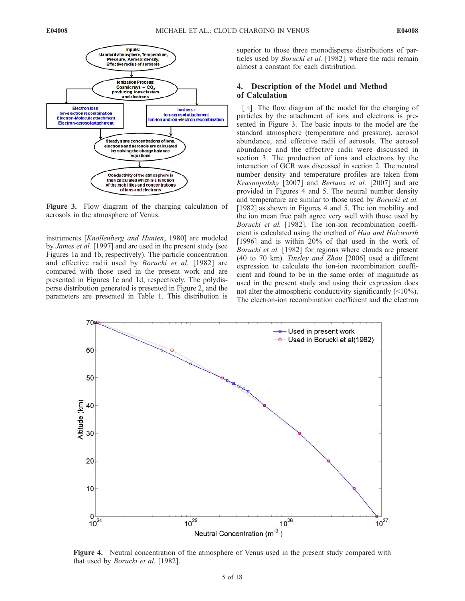

Figure 3. Flow diagram of the charging calculation of aerosols in the atmosphere of Venus.

instruments [Knollenberg and Hunten, 1980] are modeled by James et al. [1997] and are used in the present study (see Figures 1a and 1b, respectively). The particle concentration and effective radii used by Borucki et al. [1982] are compared with those used in the present work and are presented in Figures 1c and 1d, respectively. The polydisperse distribution generated is presented in Figure 2, and the parameters are presented in Table 1. This distribution is

superior to those three monodisperse distributions of particles used by Borucki et al. [1982], where the radii remain almost a constant for each distribution.

## 4. Description of the Model and Method of Calculation

[12] The flow diagram of the model for the charging of particles by the attachment of ions and electrons is presented in Figure 3. The basic inputs to the model are the standard atmosphere (temperature and pressure), aerosol abundance, and effective radii of aerosols. The aerosol abundance and the effective radii were discussed in section 3. The production of ions and electrons by the interaction of GCR was discussed in section 2. The neutral number density and temperature profiles are taken from Krasnopolsky [2007] and Bertaux et al. [2007] and are provided in Figures 4 and 5. The neutral number density and temperature are similar to those used by Borucki et al. [1982] as shown in Figures 4 and 5. The ion mobility and the ion mean free path agree very well with those used by Borucki et al. [1982]. The ion-ion recombination coefficient is calculated using the method of Hua and Holzworth [1996] and is within 20% of that used in the work of Borucki et al. [1982] for regions where clouds are present (40 to 70 km). Tinsley and Zhou [2006] used a different expression to calculate the ion-ion recombination coefficient and found to be in the same order of magnitude as used in the present study and using their expression does not alter the atmospheric conductivity significantly (<10%). The electron-ion recombination coefficient and the electron



Figure 4. Neutral concentration of the atmosphere of Venus used in the present study compared with that used by Borucki et al. [1982].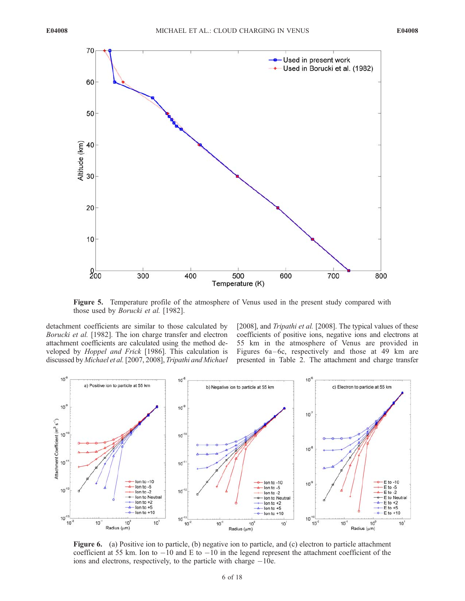

Figure 5. Temperature profile of the atmosphere of Venus used in the present study compared with those used by Borucki et al. [1982].

detachment coefficients are similar to those calculated by Borucki et al. [1982]. The ion charge transfer and electron attachment coefficients are calculated using the method developed by *Hoppel and Frick* [1986]. This calculation is discussed by Michael et al.[2007, 2008], Tripathi and Michael

[2008], and *Tripathi et al.* [2008]. The typical values of these coefficients of positive ions, negative ions and electrons at 55 km in the atmosphere of Venus are provided in Figures  $6a-6c$ , respectively and those at 49 km are presented in Table 2. The attachment and charge transfer



Figure 6. (a) Positive ion to particle, (b) negative ion to particle, and (c) electron to particle attachment coefficient at 55 km. Ion to  $-10$  and E to  $-10$  in the legend represent the attachment coefficient of the ions and electrons, respectively, to the particle with charge  $-10e$ .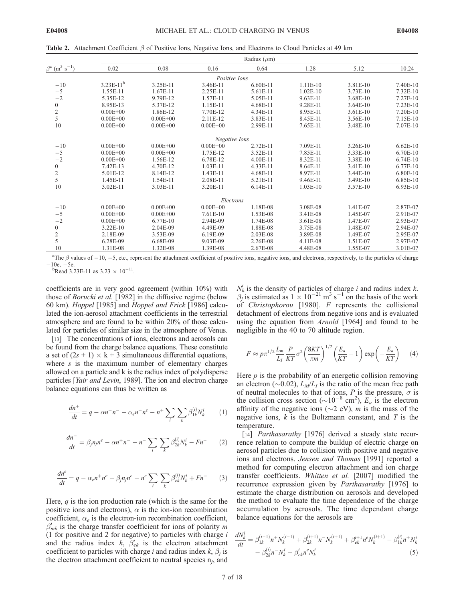Table 2. Attachment Coefficient  $\beta$  of Positive Ions, Negative Ions, and Electrons to Cloud Particles at 49 km

|                                             | Radius $(\mu m)$ |              |               |            |            |            |            |  |  |
|---------------------------------------------|------------------|--------------|---------------|------------|------------|------------|------------|--|--|
| $\beta^a$ (m <sup>3</sup> s <sup>-1</sup> ) | 0.02             | 0.08         | 0.16          | 0.64       | 1.28       | 5.12       | 10.24      |  |  |
|                                             |                  |              | Positive Ions |            |            |            |            |  |  |
| $-10$                                       | $3.23E-11^{b}$   | 3.25E-11     | 3.46E-11      | 6.60E-11   | $1.11E-10$ | 3.81E-10   | 7.40E-10   |  |  |
| $-5$                                        | 1.55E-11         | 1.67E-11     | 2.25E-11      | 5.61E-11   | $1.02E-10$ | 3.73E-10   | $7.32E-10$ |  |  |
| $-2$                                        | 5.35E-12         | 9.79E-12     | 1.57E-11      | 5.05E-11   | 9.63E-11   | 3.68E-10   | 7.27E-10   |  |  |
| $\boldsymbol{0}$                            | 8.95E-13         | 5.37E-12     | 1.15E-11      | 4.68E-11   | 9.28E-11   | $3.64E-10$ | $7.23E-10$ |  |  |
| $\frac{2}{5}$                               | $0.00E + 00$     | 1.86E-12     | 7.70E-12      | 4.34E-11   | 8.95E-11   | $3.61E-10$ | 7.20E-10   |  |  |
|                                             | $0.00E + 00$     | $0.00E + 00$ | 2.11E-12      | 3.83E-11   | 8.45E-11   | 3.56E-10   | 7.15E-10   |  |  |
| 10                                          | $0.00E + 00$     | $0.00E + 00$ | $0.00E + 00$  | 2.99E-11   | 7.65E-11   | 3.48E-10   | 7.07E-10   |  |  |
|                                             |                  |              | Negative Ions |            |            |            |            |  |  |
| $-10$                                       | $0.00E + 00$     | $0.00E + 00$ | $0.00E + 00$  | 2.72E-11   | 7.09E-11   | 3.26E-10   | $6.62E-10$ |  |  |
| $-5$                                        | $0.00E + 00$     | $0.00E + 00$ | 1.75E-12      | 3.52E-11   | 7.85E-11   | 3.33E-10   | 6.70E-10   |  |  |
| $-2$                                        | $0.00E + 00$     | 1.56E-12     | 6.78E-12      | 4.00E-11   | 8.32E-11   | 3.38E-10   | 6.74E-10   |  |  |
| $\boldsymbol{0}$                            | 7.42E-13         | 4.70E-12     | $1.03E-11$    | 4.33E-11   | 8.64E-11   | 3.41E-10   | $6.77E-10$ |  |  |
| $\overline{\mathbf{c}}$                     | 5.01E-12         | 8.14E-12     | $1.43E-11$    | 4.68E-11   | 8.97E-11   | 3.44E-10   | 6.80E-10   |  |  |
| 5                                           | 1.45E-11         | 1.54E-11     | 2.08E-11      | 5.21E-11   | 9.46E-11   | 3.49E-10   | 6.85E-10   |  |  |
| 10                                          | 3.02E-11         | 3.03E-11     | 3.20E-11      | 6.14E-11   | $1.03E-10$ | 3.57E-10   | 6.93E-10   |  |  |
|                                             |                  |              | Electrons     |            |            |            |            |  |  |
| $-10$                                       | $0.00E + 00$     | $0.00E + 00$ | $0.00E + 00$  | 1.18E-08   | 3.08E-08   | 1.41E-07   | 2.87E-07   |  |  |
| $-5$                                        | $0.00E + 00$     | $0.00E + 00$ | $7.61E-10$    | 1.53E-08   | 3.41E-08   | 1.45E-07   | 2.91E-07   |  |  |
| $-2$                                        | $0.00E + 00$     | 6.77E-10     | 2.94E-09      | 1.74E-08   | 3.61E-08   | 1.47E-07   | 2.93E-07   |  |  |
| $\boldsymbol{0}$                            | 3.22E-10         | 2.04E-09     | 4.49E-09      | 1.88E-08   | 3.75E-08   | 1.48E-07   | 2.94E-07   |  |  |
|                                             | 2.18E-09         | 3.53E-09     | 6.19E-09      | $2.03E-08$ | 3.89E-08   | 1.49E-07   | 2.95E-07   |  |  |
| $rac{2}{5}$                                 | 6.28E-09         | 6.68E-09     | 9.03E-09      | 2.26E-08   | 4.11E-08   | 1.51E-07   | 2.97E-07   |  |  |
| 10                                          | 1.31E-08         | 1.32E-08     | 1.39E-08      | 2.67E-08   | 4.48E-08   | 1.55E-07   | 3.01E-07   |  |  |

<sup>a</sup>The  $\beta$  values of  $-10$ ,  $-5$ , etc., represent the attachment coefficient of positive ions, negative ions, and electrons, respectively, to the particles of charge  $-10e$ ,  $-5e$ .<br>b<sub>Pead</sub> 3.

Read 3.23E-11 as  $3.23 \times 10^{-11}$ .

coefficients are in very good agreement (within 10%) with those of Borucki et al. [1982] in the diffusive regime (below 60 km). Hoppel [1985] and Hoppel and Frick [1986] calculated the ion-aerosol attachment coefficients in the terrestrial atmosphere and are found to be within 20% of those calculated for particles of similar size in the atmosphere of Venus.

[13] The concentrations of ions, electrons and aerosols can be found from the charge balance equations. These constitute a set of  $(2s + 1) \times k + 3$  simultaneous differential equations, where  $s$  is the maximum number of elementary charges allowed on a particle and k is the radius index of polydisperse particles [Yair and Levin, 1989]. The ion and electron charge balance equations can thus be written as

$$
\frac{dn^{+}}{dt} = q - \alpha n^{+} n^{-} - \alpha_{e} n^{+} n^{e} - n^{+} \sum_{i} \sum_{k} \beta_{1k}^{(i)} N_{k}^{i} \qquad (1)
$$

$$
\frac{dn^{-}}{dt} = \beta_j n_j n^e - \alpha n^+ n^- - n^- \sum_i \sum_k \beta_{2k}^{(i)} N_k^i - F n^- \tag{2}
$$

$$
\frac{dn^e}{dt} = q - \alpha_e n^+ n^e - \beta_j n_j n^e - n^e \sum_i \sum_k \beta_{ek}^{(i)} N_k^i + F n^- \tag{3}
$$

Here,  $q$  is the ion production rate (which is the same for the positive ions and electrons),  $\alpha$  is the ion-ion recombination coefficient,  $\alpha_e$  is the electron-ion recombination coefficient,  $\beta_{mk}^{i}$  is the charge transfer coefficient for ions of polarity m (1 for positive and 2 for negative) to particles with charge  $i$ and the radius index  $k$ ,  $\overline{\beta}_{ek}^{i}$  is the electron attachment coefficient to particles with charge i and radius index  $k$ ,  $\beta_i$  is the electron attachment coefficient to neutral species  $n_i$ , and

 $N_k^i$  is the density of particles of charge i and radius index k.  $\beta_j$  is estimated as  $1 \times 10^{-21}$  m<sup>3</sup> s<sup>-1</sup> on the basis of the work of Christophorou [1980]. F represents the collisional detachment of electrons from negative ions and is evaluated using the equation from *Arnold* [1964] and found to be negligible in the 40 to 70 altitude region.

$$
F \approx p\pi^{1/2} \frac{L_m}{L_I} \frac{P}{KT} \sigma^2 \left(\frac{8KT}{\pi m}\right)^{1/2} \left(\frac{E_a}{KT} + 1\right) \exp\left(-\frac{E_a}{KT}\right) \tag{4}
$$

Here  $p$  is the probability of an energetic collision removing an electron ( $\sim$ 0.02),  $L_M/L_I$  is the ratio of the mean free path of neutral molecules to that of ions, P is the pressure,  $\sigma$  is the collision cross section ( $\sim 10^{-8}$  cm<sup>2</sup>),  $E_a$  is the electron affinity of the negative ions ( $\sim$ 2 eV), *m* is the mass of the negative ions,  $k$  is the Boltzmann constant, and  $T$  is the temperature.

[14] *Parthasarathy* [1976] derived a steady state recurrence relation to compute the buildup of electric charge on aerosol particles due to collision with positive and negative ions and electrons. Jensen and Thomas [1991] reported a method for computing electron attachment and ion charge transfer coefficients. Whitten et al. [2007] modified the recurrence expression given by Parthasarathy [1976] to estimate the charge distribution on aerosols and developed the method to evaluate the time dependence of the charge accumulation by aerosols. The time dependant charge balance equations for the aerosols are

$$
\frac{dN_k^i}{dt} = \beta_{1k}^{(i-1)} n^+ N_k^{(i-1)} + \beta_{2k}^{(i+1)} n^- N_k^{(i+1)} + \beta_{ek}^{i+1} n^e N_k^{(i+1)} - \beta_{1k}^{(i)} n^+ N_k^i
$$
  
-  $\beta_{2k}^{(i)} n^- N_k^i - \beta_{ek}^i n^e N_k^i$  (5)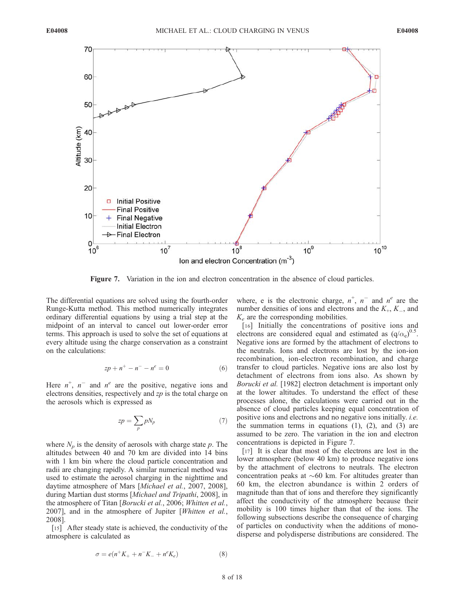

Figure 7. Variation in the ion and electron concentration in the absence of cloud particles.

The differential equations are solved using the fourth-order Runge-Kutta method. This method numerically integrates ordinary differential equations by using a trial step at the midpoint of an interval to cancel out lower-order error terms. This approach is used to solve the set of equations at every altitude using the charge conservation as a constraint on the calculations:

$$
zp + n^{+} - n^{-} - n^{e} = 0
$$
 (6)

Here  $n^+$ ,  $n^-$  and  $n^e$  are the positive, negative ions and electrons densities, respectively and zp is the total charge on the aerosols which is expressed as

$$
zp = \sum_{p} pN_p \tag{7}
$$

where  $N_p$  is the density of aerosols with charge state p. The altitudes between 40 and 70 km are divided into 14 bins with 1 km bin where the cloud particle concentration and radii are changing rapidly. A similar numerical method was used to estimate the aerosol charging in the nighttime and daytime atmosphere of Mars [Michael et al., 2007, 2008], during Martian dust storms [Michael and Tripathi, 2008], in the atmosphere of Titan [Borucki et al., 2006; Whitten et al., 2007], and in the atmosphere of Jupiter [Whitten et al., 2008].

[15] After steady state is achieved, the conductivity of the atmosphere is calculated as

$$
\sigma = e(n^+K_+ + n^-K_- + n^eK_e)
$$
 (8)

where, e is the electronic charge,  $n^+$ ,  $n^-$  and  $n^e$  are the number densities of ions and electrons and the  $K_{+}$ ,  $K_{-}$ , and  $K_e$  are the corresponding mobilities.

[16] Initially the concentrations of positive ions and electrons are considered equal and estimated as  $(q/\alpha_e)^{0.5}$ . Negative ions are formed by the attachment of electrons to the neutrals. Ions and electrons are lost by the ion-ion recombination, ion-electron recombination, and charge transfer to cloud particles. Negative ions are also lost by detachment of electrons from ions also. As shown by Borucki et al. [1982] electron detachment is important only at the lower altitudes. To understand the effect of these processes alone, the calculations were carried out in the absence of cloud particles keeping equal concentration of positive ions and electrons and no negative ions initially. i.e. the summation terms in equations  $(1)$ ,  $(2)$ , and  $(3)$  are assumed to be zero. The variation in the ion and electron concentrations is depicted in Figure 7.

[17] It is clear that most of the electrons are lost in the lower atmosphere (below 40 km) to produce negative ions by the attachment of electrons to neutrals. The electron concentration peaks at  $\sim 60$  km. For altitudes greater than 60 km, the electron abundance is within 2 orders of magnitude than that of ions and therefore they significantly affect the conductivity of the atmosphere because their mobility is 100 times higher than that of the ions. The following subsections describe the consequence of charging of particles on conductivity when the additions of monodisperse and polydisperse distributions are considered. The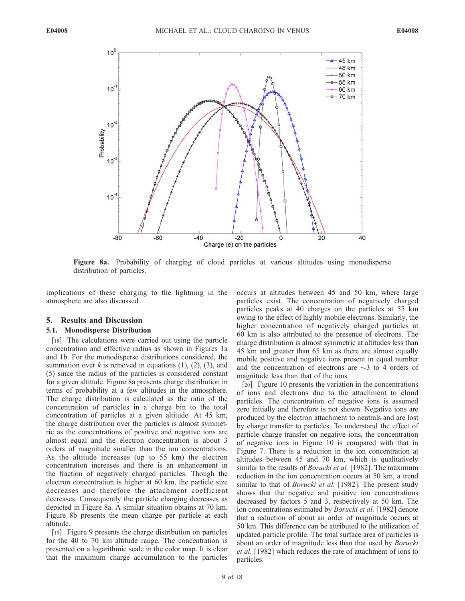

Figure 8a. Probability of charging of cloud particles at various altitudes using monodisperse distribution of particles.

implications of these charging to the lightning in the atmosphere are also discussed.

## 5. Results and Discussion

#### 5.1. Monodisperse Distribution

[18] The calculations were carried out using the particle concentration and effective radius as shown in Figures 1a and 1b. For the monodisperse distributions considered, the summation over  $k$  is removed in equations (1), (2), (3), and (5) since the radius of the particles is considered constant for a given altitude. Figure 8a presents charge distribution in terms of probability at a few altitudes in the atmosphere. The charge distribution is calculated as the ratio of the concentration of particles in a charge bin to the total concentration of particles at a given altitude. At 45 km, the charge distribution over the particles is almost symmetric as the concentrations of positive and negative ions are almost equal and the electron concentration is about 3 orders of magnitude smaller than the ion concentrations. As the altitude increases (up to 55 km) the electron concentration increases and there is an enhancement in the fraction of negatively charged particles. Though the electron concentration is higher at 60 km, the particle size decreases and therefore the attachment coefficient decreases. Consequently the particle charging decreases as depicted in Figure 8a. A similar situation obtains at 70 km. Figure 8b presents the mean charge per particle at each altitude.

[19] Figure 9 presents the charge distribution on particles for the 40 to 70 km altitude range. The concentration is presented on a logarithmic scale in the color map. It is clear that the maximum charge accumulation to the particles occurs at altitudes between 45 and 50 km, where large particles exist. The concentration of negatively charged particles peaks at 40 charges on the particles at 55 km owing to the effect of highly mobile electrons. Similarly, the higher concentration of negatively charged particles at 60 km is also attributed to the presence of electrons. The charge distribution is almost symmetric at altitudes less than 45 km and greater than 65 km as there are almost equally mobile positive and negative ions present in equal number and the concentration of electrons are  $\sim$ 3 to 4 orders of magnitude less than that of the ions.

[20] Figure 10 presents the variation in the concentrations of ions and electrons due to the attachment to cloud particles. The concentration of negative ions is assumed zero initially and therefore is not shown. Negative ions are produced by the electron attachment to neutrals and are lost by charge transfer to particles. To understand the effect of particle charge transfer on negative ions, the concentration of negative ions in Figure 10 is compared with that in Figure 7. There is a reduction in the ion concentration at altitudes between 45 and 70 km, which is qualitatively similar to the results of *Borucki et al.* [1982]. The maximum reduction in the ion concentration occurs at 50 km, a trend similar to that of *Borucki et al.* [1982]. The present study shows that the negative and positive ion concentrations decreased by factors 5 and 3, respectively at 50 km. The ion concentrations estimated by Borucki et al. [1982] denote that a reduction of about an order of magnitude occurs at 50 km. This difference can be attributed to the utilization of updated particle profile. The total surface area of particles is about an order of magnitude less than that used by Borucki et al. [1982] which reduces the rate of attachment of ions to particles.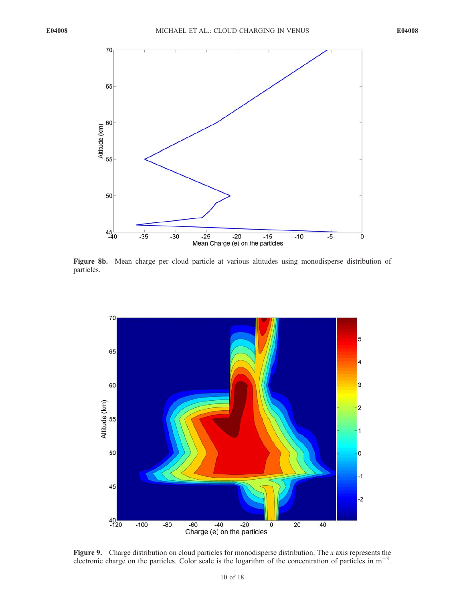

Figure 8b. Mean charge per cloud particle at various altitudes using monodisperse distribution of particles.



Figure 9. Charge distribution on cloud particles for monodisperse distribution. The x axis represents the electronic charge on the particles. Color scale is the logarithm of the concentration of particles in  $m^{-3}$ .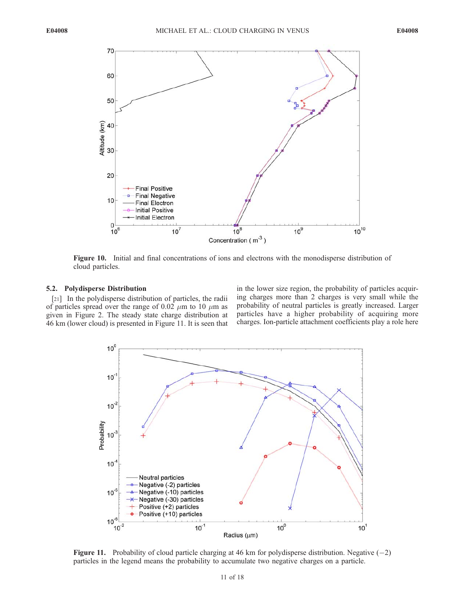

Figure 10. Initial and final concentrations of ions and electrons with the monodisperse distribution of cloud particles.

## 5.2. Polydisperse Distribution

[21] In the polydisperse distribution of particles, the radii of particles spread over the range of 0.02  $\mu$ m to 10  $\mu$ m as given in Figure 2. The steady state charge distribution at 46 km (lower cloud) is presented in Figure 11. It is seen that in the lower size region, the probability of particles acquiring charges more than 2 charges is very small while the probability of neutral particles is greatly increased. Larger particles have a higher probability of acquiring more charges. Ion-particle attachment coefficients play a role here



Figure 11. Probability of cloud particle charging at 46 km for polydisperse distribution. Negative  $(-2)$ particles in the legend means the probability to accumulate two negative charges on a particle.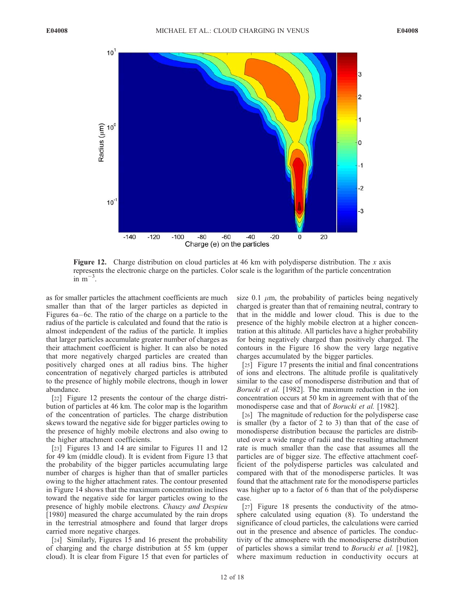

**Figure 12.** Charge distribution on cloud particles at 46 km with polydisperse distribution. The x axis represents the electronic charge on the particles. Color scale is the logarithm of the particle concentration  $\sin^2 m^{-3}$ .

as for smaller particles the attachment coefficients are much smaller than that of the larger particles as depicted in Figures  $6a-6c$ . The ratio of the charge on a particle to the radius of the particle is calculated and found that the ratio is almost independent of the radius of the particle. It implies that larger particles accumulate greater number of charges as their attachment coefficient is higher. It can also be noted that more negatively charged particles are created than positively charged ones at all radius bins. The higher concentration of negatively charged particles is attributed to the presence of highly mobile electrons, though in lower abundance.

[22] Figure 12 presents the contour of the charge distribution of particles at 46 km. The color map is the logarithm of the concentration of particles. The charge distribution skews toward the negative side for bigger particles owing to the presence of highly mobile electrons and also owing to the higher attachment coefficients.

[23] Figures 13 and 14 are similar to Figures 11 and 12 for 49 km (middle cloud). It is evident from Figure 13 that the probability of the bigger particles accumulating large number of charges is higher than that of smaller particles owing to the higher attachment rates. The contour presented in Figure 14 shows that the maximum concentration inclines toward the negative side for larger particles owing to the presence of highly mobile electrons. Chauzy and Despieu [1980] measured the charge accumulated by the rain drops in the terrestrial atmosphere and found that larger drops carried more negative charges.

[24] Similarly, Figures 15 and 16 present the probability of charging and the charge distribution at 55 km (upper cloud). It is clear from Figure 15 that even for particles of

size 0.1  $\mu$ m, the probability of particles being negatively charged is greater than that of remaining neutral, contrary to that in the middle and lower cloud. This is due to the presence of the highly mobile electron at a higher concentration at this altitude. All particles have a higher probability for being negatively charged than positively charged. The contours in the Figure 16 show the very large negative charges accumulated by the bigger particles.

[25] Figure 17 presents the initial and final concentrations of ions and electrons. The altitude profile is qualitatively similar to the case of monodisperse distribution and that of Borucki et al. [1982]. The maximum reduction in the ion concentration occurs at 50 km in agreement with that of the monodisperse case and that of *Borucki et al.* [1982].

[26] The magnitude of reduction for the polydisperse case is smaller (by a factor of 2 to 3) than that of the case of monodisperse distribution because the particles are distributed over a wide range of radii and the resulting attachment rate is much smaller than the case that assumes all the particles are of bigger size. The effective attachment coefficient of the polydisperse particles was calculated and compared with that of the monodisperse particles. It was found that the attachment rate for the monodisperse particles was higher up to a factor of 6 than that of the polydisperse case.

[27] Figure 18 presents the conductivity of the atmosphere calculated using equation (8). To understand the significance of cloud particles, the calculations were carried out in the presence and absence of particles. The conductivity of the atmosphere with the monodisperse distribution of particles shows a similar trend to Borucki et al. [1982], where maximum reduction in conductivity occurs at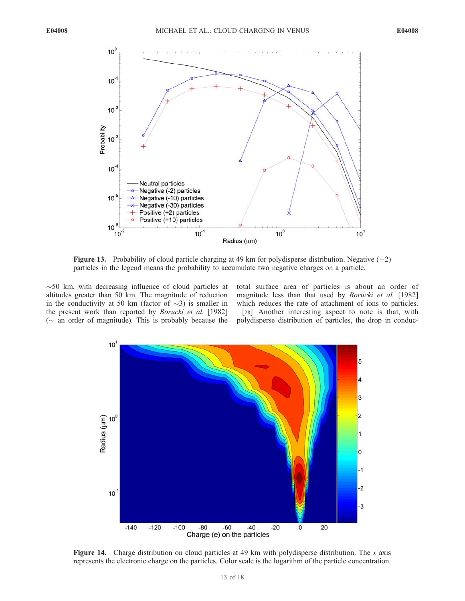

**Figure 13.** Probability of cloud particle charging at 49 km for polydisperse distribution. Negative  $(-2)$ particles in the legend means the probability to accumulate two negative charges on a particle.

 $\sim$  50 km, with decreasing influence of cloud particles at altitudes greater than 50 km. The magnitude of reduction in the conductivity at 50 km (factor of  $\sim$ 3) is smaller in the present work than reported by *Borucki et al.* [1982] ( $\sim$  an order of magnitude). This is probably because the

total surface area of particles is about an order of magnitude less than that used by Borucki et al. [1982] which reduces the rate of attachment of ions to particles. [28] Another interesting aspect to note is that, with

polydisperse distribution of particles, the drop in conduc-



Figure 14. Charge distribution on cloud particles at 49 km with polydisperse distribution. The x axis represents the electronic charge on the particles. Color scale is the logarithm of the particle concentration.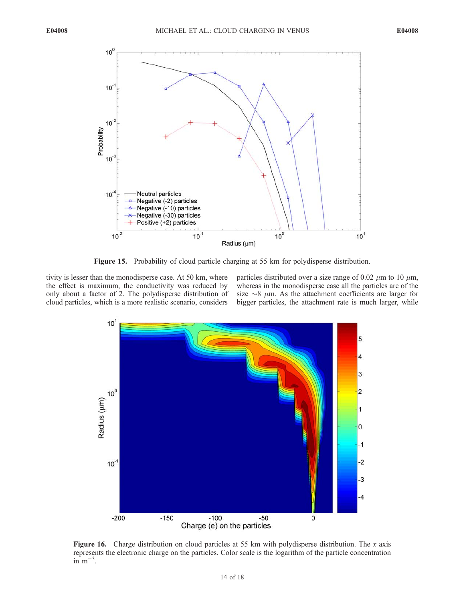

Figure 15. Probability of cloud particle charging at 55 km for polydisperse distribution.

tivity is lesser than the monodisperse case. At 50 km, where the effect is maximum, the conductivity was reduced by only about a factor of 2. The polydisperse distribution of cloud particles, which is a more realistic scenario, considers

particles distributed over a size range of 0.02  $\mu$ m to 10  $\mu$ m, whereas in the monodisperse case all the particles are of the size  $\sim$ 8  $\mu$ m. As the attachment coefficients are larger for bigger particles, the attachment rate is much larger, while



**Figure 16.** Charge distribution on cloud particles at 55 km with polydisperse distribution. The x axis represents the electronic charge on the particles. Color scale is the logarithm of the particle concentration  $\sin^2 m^{-3}$ .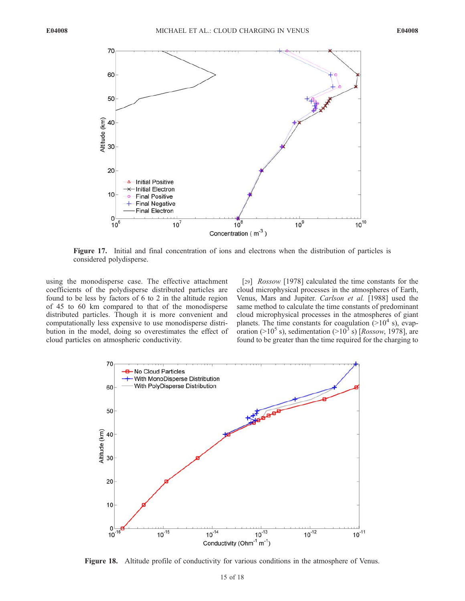

Figure 17. Initial and final concentration of ions and electrons when the distribution of particles is considered polydisperse.

using the monodisperse case. The effective attachment coefficients of the polydisperse distributed particles are found to be less by factors of 6 to 2 in the altitude region of 45 to 60 km compared to that of the monodisperse distributed particles. Though it is more convenient and computationally less expensive to use monodisperse distribution in the model, doing so overestimates the effect of cloud particles on atmospheric conductivity.

[29] *Rossow* [1978] calculated the time constants for the cloud microphysical processes in the atmospheres of Earth, Venus, Mars and Jupiter. Carlson et al. [1988] used the same method to calculate the time constants of predominant cloud microphysical processes in the atmospheres of giant planets. The time constants for coagulation  $(>10^4$  s), evaporation ( $>10^5$  s), sedimentation ( $>10^3$  s) [*Rossow*, 1978], are found to be greater than the time required for the charging to



Figure 18. Altitude profile of conductivity for various conditions in the atmosphere of Venus.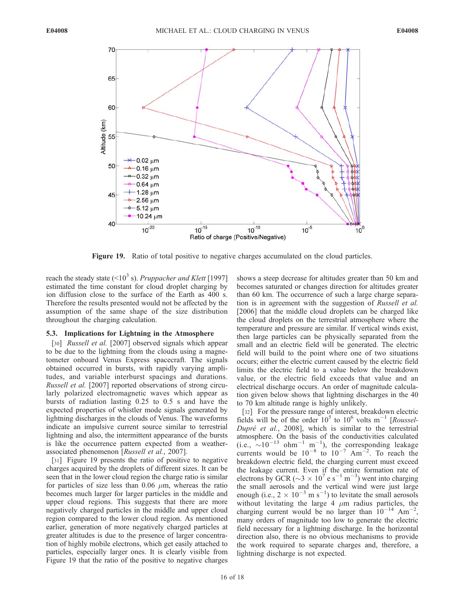

Figure 19. Ratio of total positive to negative charges accumulated on the cloud particles.

reach the steady state ( $\leq 10^3$  s). Pruppacher and Klett [1997] estimated the time constant for cloud droplet charging by ion diffusion close to the surface of the Earth as 400 s. Therefore the results presented would not be affected by the assumption of the same shape of the size distribution throughout the charging calculation.

## 5.3. Implications for Lightning in the Atmosphere

[30] *Russell et al.* [2007] observed signals which appear to be due to the lightning from the clouds using a magnetometer onboard Venus Express spacecraft. The signals obtained occurred in bursts, with rapidly varying amplitudes, and variable interburst spacings and durations. Russell et al. [2007] reported observations of strong circularly polarized electromagnetic waves which appear as bursts of radiation lasting 0.25 to 0.5 s and have the expected properties of whistler mode signals generated by lightning discharges in the clouds of Venus. The waveforms indicate an impulsive current source similar to terrestrial lightning and also, the intermittent appearance of the bursts is like the occurrence pattern expected from a weatherassociated phenomenon [Russell et al., 2007].

[31] Figure 19 presents the ratio of positive to negative charges acquired by the droplets of different sizes. It can be seen that in the lower cloud region the charge ratio is similar for particles of size less than 0.06  $\mu$ m, whereas the ratio becomes much larger for larger particles in the middle and upper cloud regions. This suggests that there are more negatively charged particles in the middle and upper cloud region compared to the lower cloud region. As mentioned earlier, generation of more negatively charged particles at greater altitudes is due to the presence of larger concentration of highly mobile electrons, which get easily attached to particles, especially larger ones. It is clearly visible from Figure 19 that the ratio of the positive to negative charges

shows a steep decrease for altitudes greater than 50 km and becomes saturated or changes direction for altitudes greater than 60 km. The occurrence of such a large charge separation is in agreement with the suggestion of Russell et al. [2006] that the middle cloud droplets can be charged like the cloud droplets on the terrestrial atmosphere where the temperature and pressure are similar. If vertical winds exist, then large particles can be physically separated from the small and an electric field will be generated. The electric field will build to the point where one of two situations occurs; either the electric current caused by the electric field limits the electric field to a value below the breakdown value, or the electric field exceeds that value and an electrical discharge occurs. An order of magnitude calculation given below shows that lightning discharges in the 40 to 70 km altitude range is highly unlikely.

[32] For the pressure range of interest, breakdown electric fields will be of the order  $10^5$  to  $10^6$  volts m<sup>-1</sup> [Roussel-Dupré et al., 2008], which is similar to the terrestrial atmosphere. On the basis of the conductivities calculated  $(i.e., \sim 10^{-13} \text{ ohm}^{-1} \text{ m}^{-1})$ , the corresponding leakage currents would be  $10^{-8}$  to  $10^{-7}$  Am<sup>-2</sup>. To reach the breakdown electric field, the charging current must exceed the leakage current. Even if the entire formation rate of electrons by GCR ( $\sim$ 3  $\times$  10<sup>7</sup> e s<sup>-1</sup> m<sup>-3</sup>) went into charging the small aerosols and the vertical wind were just large enough (i.e.,  $2 \times 10^{-3}$  m s<sup>-1</sup>) to levitate the small aerosols without levitating the large 4  $\mu$ m radius particles, the charging current would be no larger than  $10^{-14}$  Am<sup>-2</sup>, many orders of magnitude too low to generate the electric field necessary for a lightning discharge. In the horizontal direction also, there is no obvious mechanisms to provide the work required to separate charges and, therefore, a lightning discharge is not expected.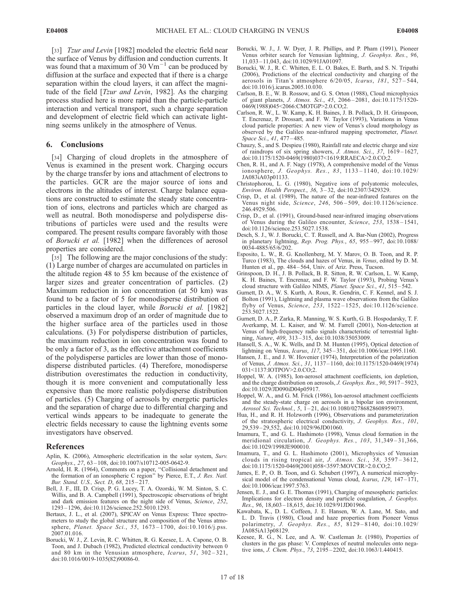[33] *Tzur and Levin* [1982] modeled the electric field near the surface of Venus by diffusion and conduction currents. It was found that a maximum of 30  $\text{Vm}^{-1}$  can be produced by diffusion at the surface and expected that if there is a charge separation within the cloud layers, it can affect the magnitude of the field [*Tzur and Levin*, 1982]. As the charging process studied here is more rapid than the particle-particle interaction and vertical transport, such a charge separation and development of electric field which can activate lightning seems unlikely in the atmosphere of Venus.

## 6. Conclusions

[34] Charging of cloud droplets in the atmosphere of Venus is examined in the present work. Charging occurs by the charge transfer by ions and attachment of electrons to the particles. GCR are the major source of ions and electrons in the altitudes of interest. Charge balance equations are constructed to estimate the steady state concentration of ions, electrons and particles which are charged as well as neutral. Both monodisperse and polydisperse distributions of particles were used and the results were compared. The present results compare favorably with those of Borucki et al. [1982] when the differences of aerosol properties are considered.

[35] The following are the major conclusions of the study: (1) Large number of charges are accumulated on particles in the altitude region 48 to 55 km because of the existence of larger sizes and greater concentration of particles. (2) Maximum reduction in ion concentration (at 50 km) was found to be a factor of 5 for monodisperse distribution of particles in the cloud layer, while Borucki et al. [1982] observed a maximum drop of an order of magnitude due to the higher surface area of the particles used in those calculations. (3) For polydisperse distribution of particles, the maximum reduction in ion concentration was found to be only a factor of 3, as the effective attachment coefficients of the polydisperse particles are lower than those of monodisperse distributed particles. (4) Therefore, monodisperse distribution overestimates the reduction in conductivity, though it is more convenient and computationally less expensive than the more realistic polydisperse distribution of particles. (5) Charging of aerosols by energetic particles and the separation of charge due to differential charging and vertical winds appears to be inadequate to generate the electric fields necessary to cause the lightning events some investigators have observed.

#### References

- Aplin, K. (2006), Atmospheric electrification in the solar system, Surv.  $Geophys., 27, 63-108, 10111007/s10712-005-0642-9.$
- Arnold, H. R. (1964), Comments on a paper, ''Collisional detachment and the formation of an ionospheric C region" by Pierce, E.T., J. Res. Natl. Bur. Stand. U.S., Sect. D, 68, 215 – 217.
- Bell, J. F., III, D. Crisp, P. G. Lucey, T. A. Ozorski, W. M. Sinton, S. C. Willis, and B. A. Campbell (1991), Spectroscopic observations of bright and dark emission features on the night side of Venus, Science, 252, 1293 – 1296, doi:10.1126/science.252.5010.1293.
- Bertaux, J. L., et al. (2007), SPICAV on Venus Express: Three spectrometers to study the global structure and composition of the Venus atmosphere, Planet. Space Sci., 55, 1673-1700, doi:10.1016/j.pss. 2007.01.016.
- Borucki, W. J., Z. Levin, R. C. Whitten, R. G. Keesee, L. A. Capone, O. B. Toon, and J. Dubach (1982), Predicted electrical conductivity between 0 and 80 km in the Venusian atmosphere, Icarus, 51, 302-321, doi:10.1016/0019-1035(82)90086-0.
- Borucki, W. J., J. W. Dyer, J. R. Phillips, and P. Pham (1991), Pioneer Venus orbiter search for Venusian lightning, J. Geophys. Res., 96, 11,033 – 11,043, doi:10.1029/91JA01097.
- Borucki, W. J., R. C. Whitten, E. L. O. Bakes, E. Barth, and S. N. Tripathi (2006), Predictions of the electrical conductivity and charging of the aerosols in Titan's atmosphere  $6/20/05$ , Icarus, 181, 527-544, doi:10.1016/j.icarus.2005.10.030.
- Carlson, B. E., W. B. Rossow, and G. S. Orton (1988), Cloud microphysics of giant planets, J. Atmos. Sci., 45, 2066 – 2081, doi:10.1175/1520- 0469(1988)045<2066:CMOTGP>2.0.CO;2.
- Carlson, R. W., L. W. Kamp, K. H. Baines, J. B. Pollack, D. H. Grinspoon, T. Encrenaz, P. Drossart, and F. W. Taylor (1993), Variations in Venus cloud particle properties: A new view of Venus's cloud morphology as observed by the Galileo near-infrared mapping spectrometer, Planet. Space Sci., 41, 477-485.
- Chauzy, S., and S. Despieu (1980), Rainfall rate and electric charge and size of raindrops of six spring showers, J. Atmos. Sci., 37, 1619 – 1627, doi:10.1175/1520-0469(1980)037<1619:RRAECA>2.0.CO;2.
- Chen, R. H., and A. F. Nagy (1978), A comprehensive model of the Venus ionosphere, J. Geophys. Res., 83, 1133 – 1140, doi:10.1029/ JA083iA03p01133.
- Christophorou, L. G. (1980), Negative ions of polyatomic molecules, Environ. Health Perspect., 36, 3 – 32, doi:10.2307/3429329.
- Crisp, D., et al. (1989), The nature of the near-infrared features on the Venus night side, Science, 246, 506 – 509, doi:10.1126/science. 246.4929.506.
- Crisp, D., et al. (1991), Ground-based near-infrared imaging observations of Venus during the Galileo encounter, Science, 253, 1538 – 1541, doi:10.1126/science.253.5027.1538.
- Desch, S. J., W. J. Borucki, C. T. Russell, and A. Bar-Nun (2002), Progress in planetary lightning, Rep. Prog. Phys., 65, 955 – 997, doi:10.1088/ 0034-4885/65/6/202.
- Esposito, L. W., R. G. Knollenberg, M. Y. Marov, O. B. Toon, and R. P. Turco (1983), The clouds and hazes of Venus, in Venus, edited by D. M. Hunten et al., pp. 484-564, Univ. of Ariz. Press, Tucson.
- Grinspoon, D. H., J. B. Pollack, B. R. Sitton, R. W. Carlson, L. W. Kamp, K. H. Baines, T. Encrenaz, and F. W. Taylor (1993), Probing Venus's cloud structure with Galileo NIMS, Planet. Space Sci., 41, 515-542.
- Gurnett, D. A., W. S. Kurth, A. Roux, R. Gendrin, C. F. Kennel, and S. J. Bolton (1991), Lightning and plasma wave observations from the Galileo flyby of Venus, Science, 253, 1522 – 1525, doi:10.1126/science. 253.5027.1522.
- Gurnett, D. A., P. Zarka, R. Manning, W. S. Kurth, G. B. Hospodarsky, T. F. Averkamp, M. L. Kaiser, and W. M. Farrell (2001), Non-detection at Venus of high-frequency radio signals characteristic of terrestrial lightning, Nature, 409, 313 – 315, doi:10.1038/35053009.
- Hansell, S. A., W. K. Wells, and D. M. Hunten (1995), Optical detection of lightning on Venus, Icarus, 117, 345 – 351, doi:10.1006/icar.1995.1160.
- Hansen, J. E., and J. W. Hovenier (1974), Interpretation of the polarization of Venus, J. Atmos. Sci., 31, 1137 – 1160, doi:10.1175/1520-0469(1974) 031<1137:IOTPOV>2.0.CO;2.
- Hoppel, W. A. (1985), Ion-aerosol attachment coefficients, ion depletion, and the charge distribution on aerosols, J. Geophys. Res., 90, 5917 – 5923, doi:10.1029/JD090iD04p05917.
- Hoppel, W. A., and G. M. Frick (1986), Ion-aerosol attachment coefficients and the steady-state charge on aerosols in a bipolar ion environment, Aerosol Sci. Technol., 5, 1-21, doi:10.1080/02786828608959073.
- Hua, H., and R. H. Holzworth (1996), Observations and parameterization of the stratospheric electrical conductivity, J. Geophys. Res., 101, 29,539 – 29,552, doi:10.1029/96JD01060.
- Imamura, T., and G. L. Hashimoto (1998), Venus cloud formation in the meridional circulation, J. Geophys. Res., 103, 31,349 – 31,366, doi:10.1029/1998JE900010.
- Imamura, T., and G. L. Hashimoto (2001), Microphysics of Venusian clouds in rising tropical air, J. Atmos. Sci., 58, 3597 – 3612, doi:10.1175/1520-0469(2001)058<3597:MOVCIR>2.0.CO;2.
- James, E. P., O. B. Toon, and G. Schubert (1997), A numerical microphysical model of the condensational Venus cloud, Icarus, 129, 147-171, doi:10.1006/icar.1997.5763.
- Jensen, E. J., and G. E. Thomas (1991), Charging of mesospheric particles: Implications for electron density and particle coagulation, J. Geophys. Res., 96, 18,603 – 18,615, doi:10.1029/91JD01966.
- Kawabata, K., D. L. Coffeen, J. E. Hansen, W. A. Lane, M. Sato, and L. D. Travis (1980), Cloud and haze properties from Pioneer Venus polarimetry, J. Geophys. Res., 85, 8129-8140, doi:10.1029/ JA085iA13p08129.
- Keesee, R. G., N. Lee, and A. W. Castleman Jr. (1980), Properties of clusters in the gas phase: V. Complexes of neutral molecules onto negative ions, J. Chem. Phys., 73, 2195 – 2202, doi:10.1063/1.440415.